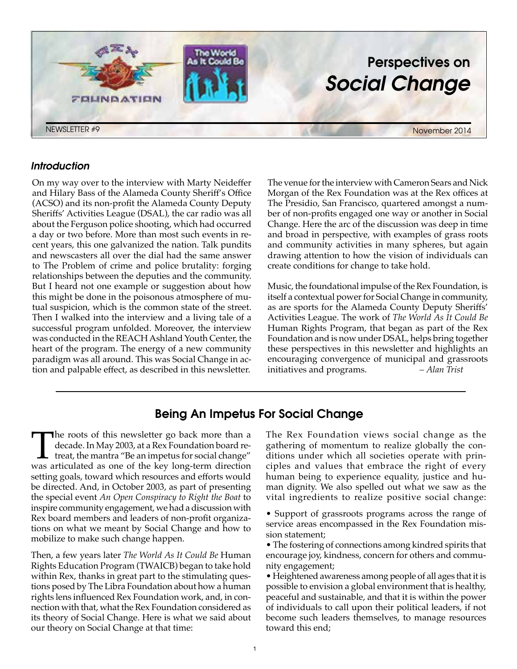

### *Introduction*

On my way over to the interview with Marty Neideffer and Hilary Bass of the Alameda County Sheriff's Office (ACSO) and its non-profit the Alameda County Deputy Sheriffs' Activities League (DSAL), the car radio was all about the Ferguson police shooting, which had occurred a day or two before. More than most such events in recent years, this one galvanized the nation. Talk pundits and newscasters all over the dial had the same answer to The Problem of crime and police brutality: forging relationships between the deputies and the community. But I heard not one example or suggestion about how this might be done in the poisonous atmosphere of mutual suspicion, which is the common state of the street. Then I walked into the interview and a living tale of a successful program unfolded. Moreover, the interview was conducted in the REACH Ashland Youth Center, the heart of the program. The energy of a new community paradigm was all around. This was Social Change in action and palpable effect, as described in this newsletter.

The venue for the interview with Cameron Sears and Nick Morgan of the Rex Foundation was at the Rex offices at The Presidio, San Francisco, quartered amongst a number of non-profits engaged one way or another in Social Change. Here the arc of the discussion was deep in time and broad in perspective, with examples of grass roots and community activities in many spheres, but again drawing attention to how the vision of individuals can create conditions for change to take hold.

Music, the foundational impulse of the Rex Foundation, is itself a contextual power for Social Change in community, as are sports for the Alameda County Deputy Sheriffs' Activities League. The work of *The World As It Could Be* Human Rights Program, that began as part of the Rex Foundation and is now under DSAL, helps bring together these perspectives in this newsletter and highlights an encouraging convergence of municipal and grassroots initiatives and programs. *– Alan Trist*

# Being An Impetus For Social Change

The roots of this newsletter go back more than a decade. In May 2003, at a Rex Foundation board retreat, the mantra "Be an impetus for social change" was articulated as one of the key long-term direction decade. In May 2003, at a Rex Foundation board retreat, the mantra "Be an impetus for social change" was articulated as one of the key long-term direction setting goals, toward which resources and efforts would be directed. And, in October 2003, as part of presenting the special event *An Open Conspiracy to Right the Boat* to inspire community engagement, we had a discussion with Rex board members and leaders of non-profit organizations on what we meant by Social Change and how to mobilize to make such change happen.

Then, a few years later *The World As It Could Be* Human Rights Education Program (TWAICB) began to take hold within Rex, thanks in great part to the stimulating questions posed by The Libra Foundation about how a human rights lens influenced Rex Foundation work, and, in connection with that, what the Rex Foundation considered as its theory of Social Change. Here is what we said about our theory on Social Change at that time:

The Rex Foundation views social change as the gathering of momentum to realize globally the conditions under which all societies operate with principles and values that embrace the right of every human being to experience equality, justice and human dignity. We also spelled out what we saw as the vital ingredients to realize positive social change:

• Support of grassroots programs across the range of service areas encompassed in the Rex Foundation mission statement;

• The fostering of connections among kindred spirits that encourage joy, kindness, concern for others and community engagement;

• Heightened awareness among people of all ages that it is possible to envision a global environment that is healthy, peaceful and sustainable, and that it is within the power of individuals to call upon their political leaders, if not become such leaders themselves, to manage resources toward this end;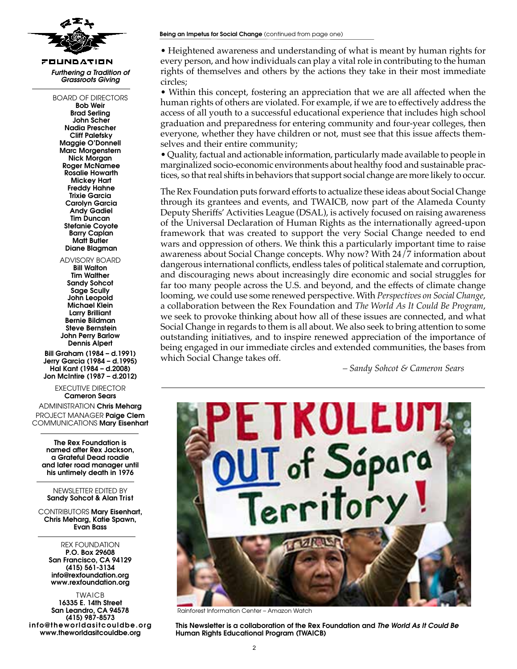

FOUNDATION *Furthering a Tradition of Grassroots Giving*

> BOARD OF DIRECTORS Bob Weir Brad Serling John Scher Nadia Prescher Cliff Palefsky Maggie O'Donnell Marc Morgenstern Nick Morgan Roger McNamee Rosalie Howarth Mickey Hart Freddy Hahne Trixie Garcia Carolyn Garcia Andy Gadiel Tim Duncan Stefanie Coyote Barry Caplan Matt Butler Diane Blagman

Advisory board Bill Walton Tim Walther Sandy Sohcot Sage Scully John Leopold Michael Klein Larry Brilliant Bernie Bildman Steve Bernstein John Perry Barlow Dennis Alpert

Bill Graham (1984 – d.1991) Jerry Garcia (1984 – d.1995) Hal Kant (1984 – d.2008) Jon McIntire (1987 – d.2012)

> executive director Cameron Sears

ADMINISTRATION Chris Meharg PROJECT MANAGER Paiae Clem Communications Mary Eisenhart

The Rex Foundation is named after Rex Jackson, a Grateful Dead roadie and later road manager until his untimely death in 1976

Newsletter edited by Sandy Sohcot & Alan Trist

CONTRIBUTORS Mary Eisenhart, Chris Meharg, Katie Spawn, Evan Bass

Rex FoundaTIon P.O. Box 29608 San Francisco, CA 94129 (415) 561-3134 info@rexfoundation.org www.rexfoundation.org

TWAICB 16335 E. 14th Street San Leandro, CA 94578 (415) 987-8573 info@theworldasitcouldbe.org www.theworldasitcouldbe.org

• Heightened awareness and understanding of what is meant by human rights for every person, and how individuals can play a vital role in contributing to the human rights of themselves and others by the actions they take in their most immediate circles;

• Within this concept, fostering an appreciation that we are all affected when the human rights of others are violated. For example, if we are to effectively address the access of all youth to a successful educational experience that includes high school graduation and preparedness for entering community and four-year colleges, then everyone, whether they have children or not, must see that this issue affects themselves and their entire community;

• Quality, factual and actionable information, particularly made available to people in marginalized socio-economic environments about healthy food and sustainable practices, so that real shifts in behaviors that support social change are more likely to occur.

The Rex Foundation puts forward efforts to actualize these ideas about Social Change through its grantees and events, and TWAICB, now part of the Alameda County Deputy Sheriffs' Activities League (DSAL), is actively focused on raising awareness of the Universal Declaration of Human Rights as the internationally agreed-upon framework that was created to support the very Social Change needed to end wars and oppression of others. We think this a particularly important time to raise awareness about Social Change concepts. Why now? With 24/7 information about dangerous international conflicts, endless tales of political stalemate and corruption, and discouraging news about increasingly dire economic and social struggles for far too many people across the U.S. and beyond, and the effects of climate change looming, we could use some renewed perspective. With *Perspectives on Social Change*, a collaboration between the Rex Foundation and *The World As It Could Be Program*, we seek to provoke thinking about how all of these issues are connected, and what Social Change in regards to them is all about. We also seek to bring attention to some outstanding initiatives, and to inspire renewed appreciation of the importance of being engaged in our immediate circles and extended communities, the bases from which Social Change takes off.

 *– Sandy Sohcot & Cameron Sears*



Rainforest Information Center – Amazon Watch

This Newsletter is a collaboration of the Rex Foundation and *The World As It Could Be*  Human Rights Educational Program (TWAICB)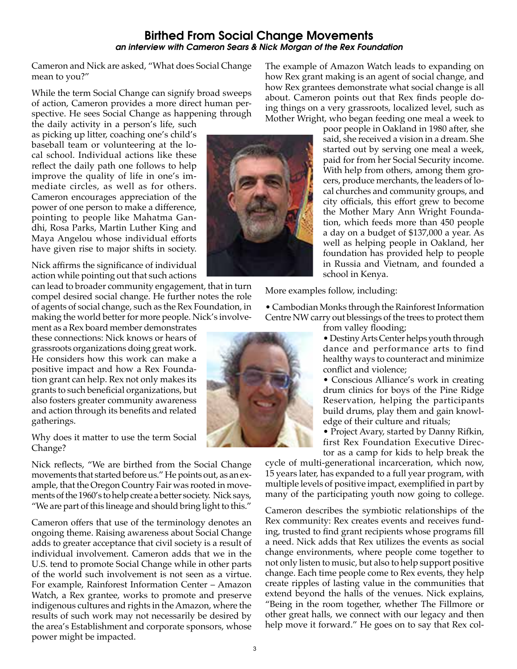## Birthed From Social Change Movements *an interview with Cameron Sears & Nick Morgan of the Rex Foundation*

Cameron and Nick are asked, "What does Social Change mean to you?"

While the term Social Change can signify broad sweeps of action, Cameron provides a more direct human perspective. He sees Social Change as happening through

the daily activity in a person's life, such as picking up litter, coaching one's child's baseball team or volunteering at the local school. Individual actions like these reflect the daily path one follows to help improve the quality of life in one's immediate circles, as well as for others. Cameron encourages appreciation of the power of one person to make a difference, pointing to people like Mahatma Gandhi, Rosa Parks, Martin Luther King and Maya Angelou whose individual efforts have given rise to major shifts in society.

Nick affirms the significance of individual action while pointing out that such actions

can lead to broader community engagement, that in turn compel desired social change. He further notes the role of agents of social change, such as the Rex Foundation, in making the world better for more people. Nick's involve-

ment as a Rex board member demonstrates these connections: Nick knows or hears of grassroots organizations doing great work. He considers how this work can make a positive impact and how a Rex Foundation grant can help. Rex not only makes its grants to such beneficial organizations, but also fosters greater community awareness and action through its benefits and related gatherings.

Why does it matter to use the term Social Change?

Nick reflects, "We are birthed from the Social Change movements that started before us." He points out, as an example, that the Oregon Country Fair was rooted in movements of the 1960's to help create a better society. Nick says, "We are part of this lineage and should bring light to this."

Cameron offers that use of the terminology denotes an ongoing theme. Raising awareness about Social Change adds to greater acceptance that civil society is a result of individual involvement. Cameron adds that we in the U.S. tend to promote Social Change while in other parts of the world such involvement is not seen as a virtue. For example, Rainforest Information Center – Amazon Watch, a Rex grantee, works to promote and preserve indigenous cultures and rights in the Amazon, where the results of such work may not necessarily be desired by the area's Establishment and corporate sponsors, whose power might be impacted.

The example of Amazon Watch leads to expanding on how Rex grant making is an agent of social change, and how Rex grantees demonstrate what social change is all about. Cameron points out that Rex finds people doing things on a very grassroots, localized level, such as Mother Wright, who began feeding one meal a week to

poor people in Oakland in 1980 after, she said, she received a vision in a dream. She started out by serving one meal a week, paid for from her Social Security income. With help from others, among them grocers, produce merchants, the leaders of local churches and community groups, and city officials, this effort grew to become the Mother Mary Ann Wright Foundation, which feeds more than 450 people a day on a budget of \$137,000 a year. As well as helping people in Oakland, her foundation has provided help to people in Russia and Vietnam, and founded a school in Kenya.

More examples follow, including:

• Cambodian Monks through the Rainforest Information Centre NW carry out blessings of the trees to protect them



• Destiny Arts Center helps youth through dance and performance arts to find healthy ways to counteract and minimize conflict and violence;

• Conscious Alliance's work in creating drum clinics for boys of the Pine Ridge Reservation, helping the participants build drums, play them and gain knowledge of their culture and rituals;

• Project Avary, started by Danny Rifkin, first Rex Foundation Executive Director as a camp for kids to help break the

cycle of multi-generational incarceration, which now, 15 years later, has expanded to a full year program, with multiple levels of positive impact, exemplified in part by many of the participating youth now going to college.

Cameron describes the symbiotic relationships of the Rex community: Rex creates events and receives funding, trusted to find grant recipients whose programs fill a need. Nick adds that Rex utilizes the events as social change environments, where people come together to not only listen to music, but also to help support positive change. Each time people come to Rex events, they help create ripples of lasting value in the communities that extend beyond the halls of the venues. Nick explains, "Being in the room together, whether The Fillmore or other great halls, we connect with our legacy and then help move it forward." He goes on to say that Rex col-

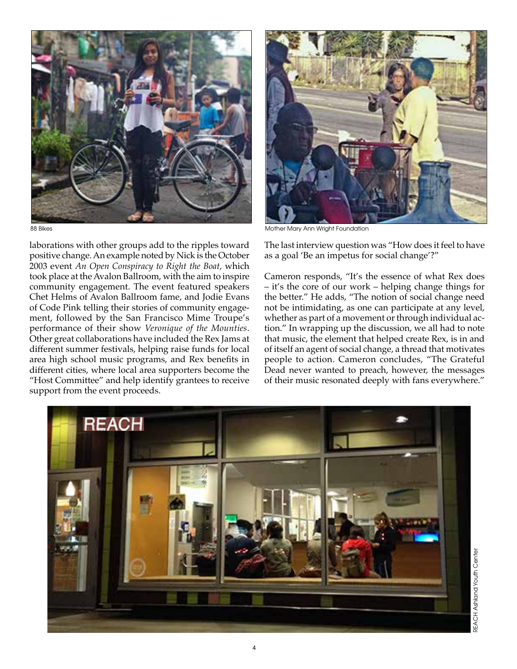

laborations with other groups add to the ripples toward positive change. An example noted by Nick is the October 2003 event *An Open Conspiracy to Right the Boat,* which took place at the Avalon Ballroom, with the aim to inspire community engagement. The event featured speakers Chet Helms of Avalon Ballroom fame, and Jodie Evans of Code Pink telling their stories of community engagement, followed by the San Francisco Mime Troupe's performance of their show *Veronique of the Mounties*. Other great collaborations have included the Rex Jams at different summer festivals, helping raise funds for local area high school music programs, and Rex benefits in different cities, where local area supporters become the "Host Committee" and help identify grantees to receive support from the event proceeds.



88 Bikes Mother Mary Ann Wright Foundation

The last interview question was "How does it feel to have as a goal 'Be an impetus for social change'?"

Cameron responds, "It's the essence of what Rex does – it's the core of our work – helping change things for the better." He adds, "The notion of social change need not be intimidating, as one can participate at any level, whether as part of a movement or through individual action." In wrapping up the discussion, we all had to note that music, the element that helped create Rex, is in and of itself an agent of social change, a thread that motivates people to action. Cameron concludes, "The Grateful Dead never wanted to preach, however, the messages of their music resonated deeply with fans everywhere."

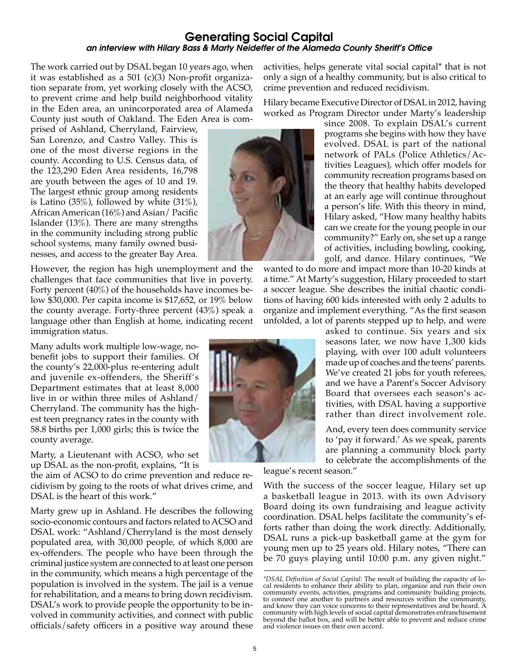## Generating Social Capital *an interview with Hilary Bass & Marty Neideffer of the Alameda County Sheriff's Office*

The work carried out by DSAL began 10 years ago, when it was established as a 501 (c)(3) Non-profit organization separate from, yet working closely with the ACSO, to prevent crime and help build neighborhood vitality in the Eden area, an unincorporated area of Alameda County just south of Oakland. The Eden Area is com-

prised of Ashland, Cherryland, Fairview, San Lorenzo, and Castro Valley. This is one of the most diverse regions in the county. According to U.S. Census data, of the 123,290 Eden Area residents, 16,798 are youth between the ages of 10 and 19. The largest ethnic group among residents is Latino (35%), followed by white  $(31\%)$ , African American (16%) and Asian/ Pacific Islander (13%). There are many strengths in the community including strong public school systems, many family owned businesses, and access to the greater Bay Area.

However, the region has high unemployment and the challenges that face communities that live in poverty. Forty percent (40%) of the households have incomes below \$30,000. Per capita income is \$17,652, or 19% below the county average. Forty-three percent (43%) speak a language other than English at home, indicating recent immigration status.

Many adults work multiple low-wage, nobenefit jobs to support their families. Of the county's 22,000-plus re-entering adult and juvenile ex-offenders, the Sheriff's Department estimates that at least 8,000 live in or within three miles of Ashland/ Cherryland. The community has the highest teen pregnancy rates in the county with 58.8 births per 1,000 girls; this is twice the county average.

Marty, a Lieutenant with ACSO, who set up DSAL as the non-profit, explains, "It is

the aim of ACSO to do crime prevention and reduce recidivism by going to the roots of what drives crime, and DSAL is the heart of this work."

Marty grew up in Ashland. He describes the following socio-economic contours and factors related to ACSO and DSAL work: "Ashland/Cherryland is the most densely populated area, with 30,000 people, of which 8,000 are ex-offenders. The people who have been through the criminal justice system are connected to at least one person in the community, which means a high percentage of the population is involved in the system. The jail is a venue for rehabilitation, and a means to bring down recidivism. DSAL's work to provide people the opportunity to be involved in community activities, and connect with public officials/safety officers in a positive way around these activities, helps generate vital social capital\* that is not only a sign of a healthy community, but is also critical to crime prevention and reduced recidivism.

Hilary became Executive Director of DSAL in 2012, having worked as Program Director under Marty's leadership

since 2008. To explain DSAL's current programs she begins with how they have evolved. DSAL is part of the national network of PALs (Police Athletics/Activities Leagues), which offer models for community recreation programs based on the theory that healthy habits developed at an early age will continue throughout a person's life. With this theory in mind, Hilary asked, "How many healthy habits can we create for the young people in our community?" Early on, she set up a range of activities, including bowling, cooking, golf, and dance. Hilary continues, "We

wanted to do more and impact more than 10-20 kinds at a time." At Marty's suggestion, Hilary proceeded to start a soccer league. She describes the initial chaotic conditions of having 600 kids interested with only 2 adults to organize and implement everything. "As the first season unfolded, a lot of parents stepped up to help, and were

asked to continue. Six years and six seasons later, we now have 1,300 kids playing, with over 100 adult volunteers made up of coaches and the teens' parents. We've created 21 jobs for youth referees, and we have a Parent's Soccer Advisory Board that oversees each season's activities, with DSAL having a supportive rather than direct involvement role.

And, every teen does community service to 'pay it forward.' As we speak, parents are planning a community block party to celebrate the accomplishments of the

league's recent season."

With the success of the soccer league, Hilary set up a basketball league in 2013. with its own Advisory Board doing its own fundraising and league activity coordination. DSAL helps facilitate the community's efforts rather than doing the work directly. Additionally, DSAL runs a pick-up basketball game at the gym for young men up to 25 years old. Hilary notes, "There can be 70 guys playing until 10:00 p.m. any given night."





*<sup>\*</sup>DSAL Definition of Social Capital:* The result of building the capacity of local residents to enhance their ability to plan, organize and run their own community events, activities, programs and community building projects, to connect one another to partners and resources within the community, and know they can voice concerns to their representatives and be heard. A community with high levels of social capital demonstrates enfranchisement beyond the ballot box, and will be better able to prevent and reduce crime and violence issues on their own accord.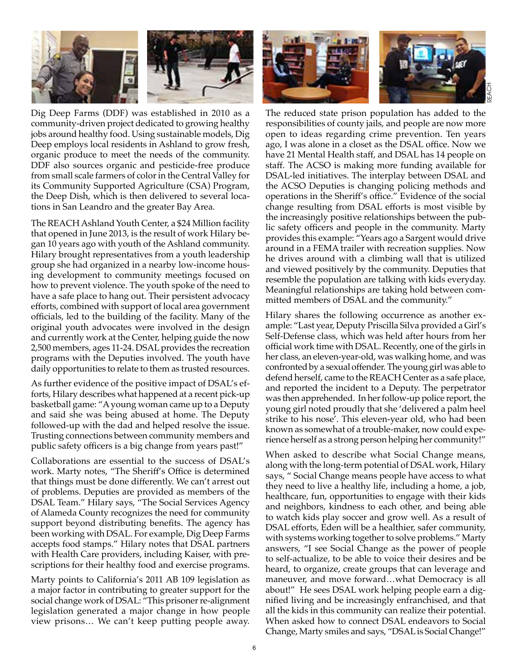

Dig Deep Farms (DDF) was established in 2010 as a community-driven project dedicated to growing healthy jobs around healthy food. Using sustainable models, Dig Deep employs local residents in Ashland to grow fresh, organic produce to meet the needs of the community. DDF also sources organic and pesticide-free produce from small scale farmers of color in the Central Valley for its Community Supported Agriculture (CSA) Program, the Deep Dish, which is then delivered to several locations in San Leandro and the greater Bay Area.

The REACH Ashland Youth Center, a \$24 Million facility that opened in June 2013, is the result of work Hilary began 10 years ago with youth of the Ashland community. Hilary brought representatives from a youth leadership group she had organized in a nearby low-income housing development to community meetings focused on how to prevent violence. The youth spoke of the need to have a safe place to hang out. Their persistent advocacy efforts, combined with support of local area government officials, led to the building of the facility. Many of the original youth advocates were involved in the design and currently work at the Center, helping guide the now 2,500 members, ages 11-24. DSAL provides the recreation programs with the Deputies involved. The youth have daily opportunities to relate to them as trusted resources.

As further evidence of the positive impact of DSAL's efforts, Hilary describes what happened at a recent pick-up basketball game: "A young woman came up to a Deputy and said she was being abused at home. The Deputy followed-up with the dad and helped resolve the issue. Trusting connections between community members and public safety officers is a big change from years past!"

Collaborations are essential to the success of DSAL's work. Marty notes, "The Sheriff's Office is determined that things must be done differently. We can't arrest out of problems. Deputies are provided as members of the DSAL Team." Hilary says, "The Social Services Agency of Alameda County recognizes the need for community support beyond distributing benefits. The agency has been working with DSAL. For example, Dig Deep Farms accepts food stamps." Hilary notes that DSAL partners with Health Care providers, including Kaiser, with prescriptions for their healthy food and exercise programs.

Marty points to California's 2011 AB 109 legislation as a major factor in contributing to greater support for the social change work of DSAL: "This prisoner re-alignment legislation generated a major change in how people view prisons… We can't keep putting people away.



The reduced state prison population has added to the responsibilities of county jails, and people are now more open to ideas regarding crime prevention. Ten years ago, I was alone in a closet as the DSAL office. Now we have 21 Mental Health staff, and DSAL has 14 people on staff. The ACSO is making more funding available for DSAL-led initiatives. The interplay between DSAL and the ACSO Deputies is changing policing methods and operations in the Sheriff's office." Evidence of the social change resulting from DSAL efforts is most visible by the increasingly positive relationships between the public safety officers and people in the community. Marty provides this example: "Years ago a Sargent would drive around in a FEMA trailer with recreation supplies. Now he drives around with a climbing wall that is utilized and viewed positively by the community. Deputies that resemble the population are talking with kids everyday. Meaningful relationships are taking hold between committed members of DSAL and the community."

Hilary shares the following occurrence as another example: "Last year, Deputy Priscilla Silva provided a Girl's Self-Defense class, which was held after hours from her official work time with DSAL. Recently, one of the girls in her class, an eleven-year-old, was walking home, and was confronted by a sexual offender. The young girl was able to defend herself, came to the REACH Center as a safe place, and reported the incident to a Deputy. The perpetrator was then apprehended. In her follow-up police report, the young girl noted proudly that she 'delivered a palm heel strike to his nose'. This eleven-year old, who had been known as somewhat of a trouble-maker, now could experience herself as a strong person helping her community!"

When asked to describe what Social Change means, along with the long-term potential of DSAL work, Hilary says, " Social Change means people have access to what they need to live a healthy life, including a home, a job, healthcare, fun, opportunities to engage with their kids and neighbors, kindness to each other, and being able to watch kids play soccer and grow well. As a result of DSAL efforts, Eden will be a healthier, safer community, with systems working together to solve problems." Marty answers, "I see Social Change as the power of people to self-actualize, to be able to voice their desires and be heard, to organize, create groups that can leverage and maneuver, and move forward…what Democracy is all about!" He sees DSAL work helping people earn a dignified living and be increasingly enfranchised, and that all the kids in this community can realize their potential. When asked how to connect DSAL endeavors to Social Change, Marty smiles and says, "DSAL is Social Change!"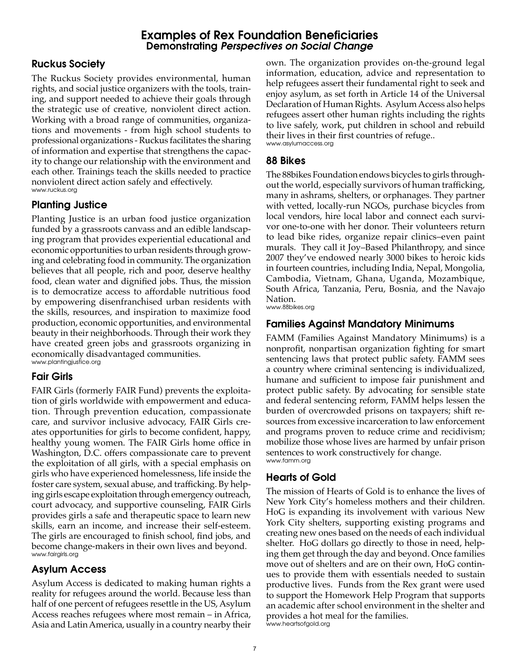## Examples of Rex Foundation Beneficiaries Demonstrating *Perspectives on Social Change*

# Ruckus Society

The Ruckus Society provides environmental, human rights, and social justice organizers with the tools, training, and support needed to achieve their goals through the strategic use of creative, nonviolent direct action. Working with a broad range of communities, organizations and movements - from high school students to professional organizations - Ruckus facilitates the sharing of information and expertise that strengthens the capacity to change our relationship with the environment and each other. Trainings teach the skills needed to practice nonviolent direct action safely and effectively. www.ruckus.org

# Planting Justice

Planting Justice is an urban food justice organization funded by a grassroots canvass and an edible landscaping program that provides experiential educational and economic opportunities to urban residents through growing and celebrating food in community. The organization believes that all people, rich and poor, deserve healthy food, clean water and dignified jobs. Thus, the mission is to democratize access to affordable nutritious food by empowering disenfranchised urban residents with the skills, resources, and inspiration to maximize food production, economic opportunities, and environmental beauty in their neighborhoods. Through their work they have created green jobs and grassroots organizing in economically disadvantaged communities. www.plantingjustice.org

# Fair Girls

FAIR Girls (formerly FAIR Fund) prevents the exploitation of girls worldwide with empowerment and education. Through prevention education, compassionate care, and survivor inclusive advocacy, FAIR Girls creates opportunities for girls to become confident, happy, healthy young women. The FAIR Girls home office in Washington, D.C. offers compassionate care to prevent the exploitation of all girls, with a special emphasis on girls who have experienced homelessness, life inside the foster care system, sexual abuse, and trafficking. By helping girls escape exploitation through emergency outreach, court advocacy, and supportive counseling, FAIR Girls provides girls a safe and therapeutic space to learn new skills, earn an income, and increase their self-esteem. The girls are encouraged to finish school, find jobs, and become change-makers in their own lives and beyond. www.fairgirls.org

# Asylum Access

Asylum Access is dedicated to making human rights a reality for refugees around the world. Because less than half of one percent of refugees resettle in the US, Asylum Access reaches refugees where most remain – in Africa, Asia and Latin America, usually in a country nearby their own. The organization provides on-the-ground legal information, education, advice and representation to help refugees assert their fundamental right to seek and enjoy asylum, as set forth in Article 14 of the Universal Declaration of Human Rights. Asylum Access also helps refugees assert other human rights including the rights to live safely, work, put children in school and rebuild their lives in their first countries of refuge.. www.asylumaccess.org

# 88 Bikes

The 88bikes Foundation endows bicycles to girls throughout the world, especially survivors of human trafficking, many in ashrams, shelters, or orphanages. They partner with vetted, locally-run NGOs, purchase bicycles from local vendors, hire local labor and connect each survivor one-to-one with her donor. Their volunteers return to lead bike rides, organize repair clinics–even paint murals. They call it Joy–Based Philanthropy, and since 2007 they've endowed nearly 3000 bikes to heroic kids in fourteen countries, including India, Nepal, Mongolia, Cambodia, Vietnam, Ghana, Uganda, Mozambique, South Africa, Tanzania, Peru, Bosnia, and the Navajo Nation.

www.88bikes.org

# Families Against Mandatory Minimums

FAMM (Families Against Mandatory Minimums) is a nonprofit, nonpartisan organization fighting for smart sentencing laws that protect public safety. FAMM sees a country where criminal sentencing is individualized, humane and sufficient to impose fair punishment and protect public safety. By advocating for sensible state and federal sentencing reform, FAMM helps lessen the burden of overcrowded prisons on taxpayers; shift resources from excessive incarceration to law enforcement and programs proven to reduce crime and recidivism; mobilize those whose lives are harmed by unfair prison sentences to work constructively for change. www.famm.org

# Hearts of Gold

The mission of Hearts of Gold is to enhance the lives of New York City's homeless mothers and their children. HoG is expanding its involvement with various New York City shelters, supporting existing programs and creating new ones based on the needs of each individual shelter. HoG dollars go directly to those in need, helping them get through the day and beyond. Once families move out of shelters and are on their own, HoG continues to provide them with essentials needed to sustain productive lives. Funds from the Rex grant were used to support the Homework Help Program that supports an academic after school environment in the shelter and provides a hot meal for the families. www.heartsofgold.org